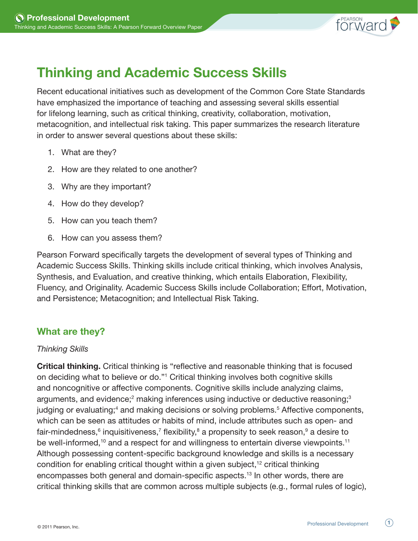

# Thinking and Academic Success Skills

Recent educational initiatives such as development of the Common Core State Standards have emphasized the importance of teaching and assessing several skills essential for lifelong learning, such as critical thinking, creativity, collaboration, motivation, metacognition, and intellectual risk taking. This paper summarizes the research literature in order to answer several questions about these skills:

- 1. What are they?
- 2. How are they related to one another?
- 3. Why are they important?
- 4. How do they develop?
- 5. How can you teach them?
- 6. How can you assess them?

Pearson Forward specifically targets the development of several types of Thinking and Academic Success Skills. Thinking skills include critical thinking, which involves Analysis, Synthesis, and Evaluation, and creative thinking, which entails Elaboration, Flexibility, Fluency, and Originality. Academic Success Skills include Collaboration; Effort, Motivation, and Persistence; Metacognition; and Intellectual Risk Taking.

# What are they?

### *Thinking Skills*

Critical thinking. Critical thinking is "reflective and reasonable thinking that is focused on deciding what to believe or do."1 Critical thinking involves both cognitive skills and noncognitive or affective components. Cognitive skills include analyzing claims, arguments, and evidence;<sup>2</sup> making inferences using inductive or deductive reasoning;<sup>3</sup> judging or evaluating;<sup>4</sup> and making decisions or solving problems.<sup>5</sup> Affective components, which can be seen as attitudes or habits of mind, include attributes such as open- and fair-mindedness,<sup>6</sup> inquisitiveness,<sup>7</sup> flexibility,<sup>8</sup> a propensity to seek reason,<sup>9</sup> a desire to be well-informed,<sup>10</sup> and a respect for and willingness to entertain diverse viewpoints.<sup>11</sup> Although possessing content-specific background knowledge and skills is a necessary condition for enabling critical thought within a given subject,<sup>12</sup> critical thinking encompasses both general and domain-specific aspects.13 In other words, there are critical thinking skills that are common across multiple subjects (e.g., formal rules of logic),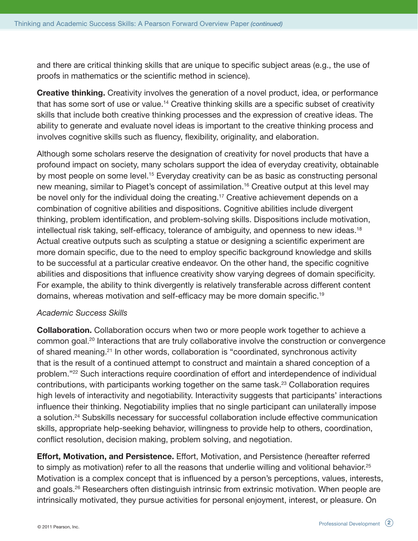and there are critical thinking skills that are unique to specific subject areas (e.g., the use of proofs in mathematics or the scientific method in science).

**Creative thinking.** Creativity involves the generation of a novel product, idea, or performance that has some sort of use or value.14 Creative thinking skills are a specific subset of creativity skills that include both creative thinking processes and the expression of creative ideas. The ability to generate and evaluate novel ideas is important to the creative thinking process and involves cognitive skills such as fluency, flexibility, originality, and elaboration.

Although some scholars reserve the designation of creativity for novel products that have a profound impact on society, many scholars support the idea of everyday creativity, obtainable by most people on some level.<sup>15</sup> Everyday creativity can be as basic as constructing personal new meaning, similar to Piaget's concept of assimilation.<sup>16</sup> Creative output at this level may be novel only for the individual doing the creating.<sup>17</sup> Creative achievement depends on a combination of cognitive abilities and dispositions. Cognitive abilities include divergent thinking, problem identification, and problem-solving skills. Dispositions include motivation, intellectual risk taking, self-efficacy, tolerance of ambiguity, and openness to new ideas.<sup>18</sup> Actual creative outputs such as sculpting a statue or designing a scientific experiment are more domain specific, due to the need to employ specific background knowledge and skills to be successful at a particular creative endeavor. On the other hand, the specific cognitive abilities and dispositions that influence creativity show varying degrees of domain specificity. For example, the ability to think divergently is relatively transferable across different content domains, whereas motivation and self-efficacy may be more domain specific.19

### *Academic Success Skills*

Collaboration. Collaboration occurs when two or more people work together to achieve a common goal.20 Interactions that are truly collaborative involve the construction or convergence of shared meaning.21 In other words, collaboration is "coordinated, synchronous activity that is the result of a continued attempt to construct and maintain a shared conception of a problem."22 Such interactions require coordination of effort and interdependence of individual contributions, with participants working together on the same task.23 Collaboration requires high levels of interactivity and negotiability. Interactivity suggests that participants' interactions influence their thinking. Negotiability implies that no single participant can unilaterally impose a solution.24 Subskills necessary for successful collaboration include effective communication skills, appropriate help-seeking behavior, willingness to provide help to others, coordination, conflict resolution, decision making, problem solving, and negotiation.

Effort, Motivation, and Persistence. Effort, Motivation, and Persistence (hereafter referred to simply as motivation) refer to all the reasons that underlie willing and volitional behavior.<sup>25</sup> Motivation is a complex concept that is influenced by a person's perceptions, values, interests, and goals.26 Researchers often distinguish intrinsic from extrinsic motivation. When people are intrinsically motivated, they pursue activities for personal enjoyment, interest, or pleasure. On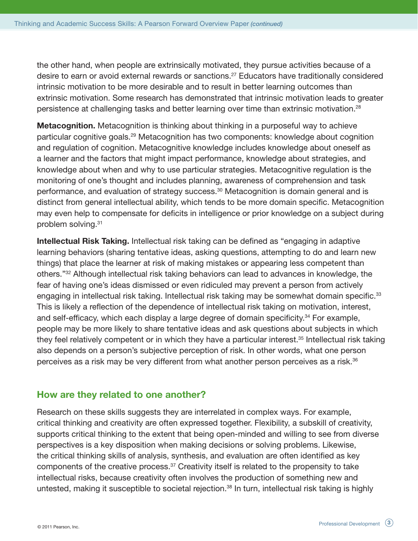the other hand, when people are extrinsically motivated, they pursue activities because of a desire to earn or avoid external rewards or sanctions.27 Educators have traditionally considered intrinsic motivation to be more desirable and to result in better learning outcomes than extrinsic motivation. Some research has demonstrated that intrinsic motivation leads to greater persistence at challenging tasks and better learning over time than extrinsic motivation.<sup>28</sup>

**Metacognition.** Metacognition is thinking about thinking in a purposeful way to achieve particular cognitive goals.29 Metacognition has two components: knowledge about cognition and regulation of cognition. Metacognitive knowledge includes knowledge about oneself as a learner and the factors that might impact performance, knowledge about strategies, and knowledge about when and why to use particular strategies. Metacognitive regulation is the monitoring of one's thought and includes planning, awareness of comprehension and task performance, and evaluation of strategy success.<sup>30</sup> Metacognition is domain general and is distinct from general intellectual ability, which tends to be more domain specific. Metacognition may even help to compensate for deficits in intelligence or prior knowledge on a subject during problem solving.<sup>31</sup>

Intellectual Risk Taking. Intellectual risk taking can be defined as "engaging in adaptive learning behaviors (sharing tentative ideas, asking questions, attempting to do and learn new things) that place the learner at risk of making mistakes or appearing less competent than others."32 Although intellectual risk taking behaviors can lead to advances in knowledge, the fear of having one's ideas dismissed or even ridiculed may prevent a person from actively engaging in intellectual risk taking. Intellectual risk taking may be somewhat domain specific.<sup>33</sup> This is likely a reflection of the dependence of intellectual risk taking on motivation, interest, and self-efficacy, which each display a large degree of domain specificity.<sup>34</sup> For example, people may be more likely to share tentative ideas and ask questions about subjects in which they feel relatively competent or in which they have a particular interest.<sup>35</sup> Intellectual risk taking also depends on a person's subjective perception of risk. In other words, what one person perceives as a risk may be very different from what another person perceives as a risk.<sup>36</sup>

## How are they related to one another?

Research on these skills suggests they are interrelated in complex ways. For example, critical thinking and creativity are often expressed together. Flexibility, a subskill of creativity, supports critical thinking to the extent that being open-minded and willing to see from diverse perspectives is a key disposition when making decisions or solving problems. Likewise, the critical thinking skills of analysis, synthesis, and evaluation are often identified as key components of the creative process.<sup>37</sup> Creativity itself is related to the propensity to take intellectual risks, because creativity often involves the production of something new and untested, making it susceptible to societal rejection.<sup>38</sup> In turn, intellectual risk taking is highly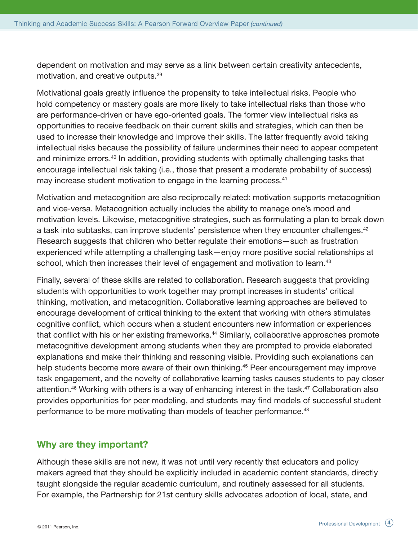dependent on motivation and may serve as a link between certain creativity antecedents, motivation, and creative outputs.39

Motivational goals greatly influence the propensity to take intellectual risks. People who hold competency or mastery goals are more likely to take intellectual risks than those who are performance-driven or have ego-oriented goals. The former view intellectual risks as opportunities to receive feedback on their current skills and strategies, which can then be used to increase their knowledge and improve their skills. The latter frequently avoid taking intellectual risks because the possibility of failure undermines their need to appear competent and minimize errors.<sup>40</sup> In addition, providing students with optimally challenging tasks that encourage intellectual risk taking (i.e., those that present a moderate probability of success) may increase student motivation to engage in the learning process.<sup>41</sup>

Motivation and metacognition are also reciprocally related: motivation supports metacognition and vice-versa. Metacognition actually includes the ability to manage one's mood and motivation levels. Likewise, metacognitive strategies, such as formulating a plan to break down a task into subtasks, can improve students' persistence when they encounter challenges.<sup>42</sup> Research suggests that children who better regulate their emotions—such as frustration experienced while attempting a challenging task—enjoy more positive social relationships at school, which then increases their level of engagement and motivation to learn.<sup>43</sup>

Finally, several of these skills are related to collaboration. Research suggests that providing students with opportunities to work together may prompt increases in students' critical thinking, motivation, and metacognition. Collaborative learning approaches are believed to encourage development of critical thinking to the extent that working with others stimulates cognitive conflict, which occurs when a student encounters new information or experiences that conflict with his or her existing frameworks.<sup>44</sup> Similarly, collaborative approaches promote metacognitive development among students when they are prompted to provide elaborated explanations and make their thinking and reasoning visible. Providing such explanations can help students become more aware of their own thinking.<sup>45</sup> Peer encouragement may improve task engagement, and the novelty of collaborative learning tasks causes students to pay closer attention.<sup>46</sup> Working with others is a way of enhancing interest in the task.<sup>47</sup> Collaboration also provides opportunities for peer modeling, and students may find models of successful student performance to be more motivating than models of teacher performance.<sup>48</sup>

## Why are they important?

Although these skills are not new, it was not until very recently that educators and policy makers agreed that they should be explicitly included in academic content standards, directly taught alongside the regular academic curriculum, and routinely assessed for all students. For example, the Partnership for 21st century skills advocates adoption of local, state, and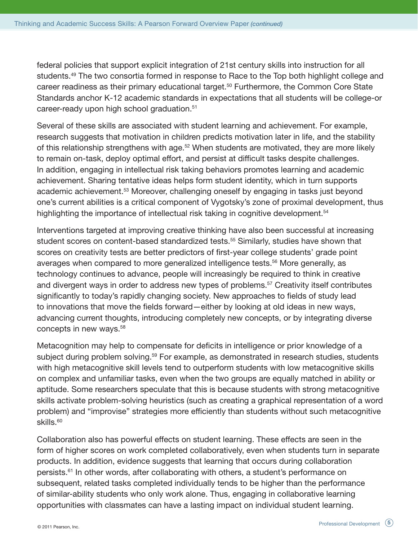federal policies that support explicit integration of 21st century skills into instruction for all students.<sup>49</sup> The two consortia formed in response to Race to the Top both highlight college and career readiness as their primary educational target.<sup>50</sup> Furthermore, the Common Core State Standards anchor K-12 academic standards in expectations that all students will be college-or career-ready upon high school graduation.<sup>51</sup>

Several of these skills are associated with student learning and achievement. For example, research suggests that motivation in children predicts motivation later in life, and the stability of this relationship strengthens with age.<sup>52</sup> When students are motivated, they are more likely to remain on-task, deploy optimal effort, and persist at difficult tasks despite challenges. In addition, engaging in intellectual risk taking behaviors promotes learning and academic achievement. Sharing tentative ideas helps form student identity, which in turn supports academic achievement.<sup>53</sup> Moreover, challenging oneself by engaging in tasks just beyond one's current abilities is a critical component of Vygotsky's zone of proximal development, thus highlighting the importance of intellectual risk taking in cognitive development.<sup>54</sup>

Interventions targeted at improving creative thinking have also been successful at increasing student scores on content-based standardized tests.<sup>55</sup> Similarly, studies have shown that scores on creativity tests are better predictors of first-year college students' grade point averages when compared to more generalized intelligence tests.<sup>56</sup> More generally, as technology continues to advance, people will increasingly be required to think in creative and divergent ways in order to address new types of problems.<sup>57</sup> Creativity itself contributes significantly to today's rapidly changing society. New approaches to fields of study lead to innovations that move the fields forward—either by looking at old ideas in new ways, advancing current thoughts, introducing completely new concepts, or by integrating diverse concepts in new ways.58

Metacognition may help to compensate for deficits in intelligence or prior knowledge of a subject during problem solving.<sup>59</sup> For example, as demonstrated in research studies, students with high metacognitive skill levels tend to outperform students with low metacognitive skills on complex and unfamiliar tasks, even when the two groups are equally matched in ability or aptitude. Some researchers speculate that this is because students with strong metacognitive skills activate problem-solving heuristics (such as creating a graphical representation of a word problem) and "improvise" strategies more efficiently than students without such metacognitive skills.<sup>60</sup>

Collaboration also has powerful effects on student learning. These effects are seen in the form of higher scores on work completed collaboratively, even when students turn in separate products. In addition, evidence suggests that learning that occurs during collaboration persists.61 In other words, after collaborating with others, a student's performance on subsequent, related tasks completed individually tends to be higher than the performance of similar-ability students who only work alone. Thus, engaging in collaborative learning opportunities with classmates can have a lasting impact on individual student learning.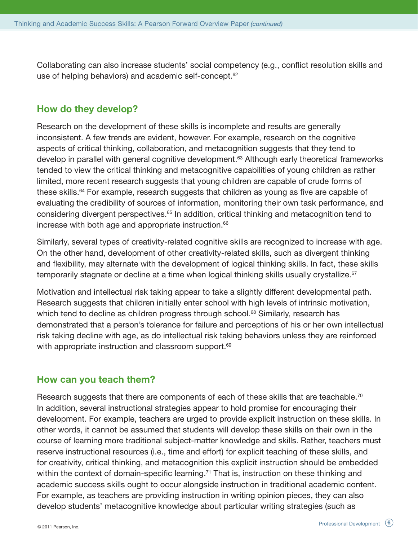Collaborating can also increase students' social competency (e.g., conflict resolution skills and use of helping behaviors) and academic self-concept.<sup>62</sup>

## How do they develop?

Research on the development of these skills is incomplete and results are generally inconsistent. A few trends are evident, however. For example, research on the cognitive aspects of critical thinking, collaboration, and metacognition suggests that they tend to develop in parallel with general cognitive development.<sup>63</sup> Although early theoretical frameworks tended to view the critical thinking and metacognitive capabilities of young children as rather limited, more recent research suggests that young children are capable of crude forms of these skills.<sup>64</sup> For example, research suggests that children as young as five are capable of evaluating the credibility of sources of information, monitoring their own task performance, and considering divergent perspectives.<sup>65</sup> In addition, critical thinking and metacognition tend to increase with both age and appropriate instruction.<sup>66</sup>

Similarly, several types of creativity-related cognitive skills are recognized to increase with age. On the other hand, development of other creativity-related skills, such as divergent thinking and flexibility, may alternate with the development of logical thinking skills. In fact, these skills temporarily stagnate or decline at a time when logical thinking skills usually crystallize.<sup>67</sup>

Motivation and intellectual risk taking appear to take a slightly different developmental path. Research suggests that children initially enter school with high levels of intrinsic motivation, which tend to decline as children progress through school.<sup>68</sup> Similarly, research has demonstrated that a person's tolerance for failure and perceptions of his or her own intellectual risk taking decline with age, as do intellectual risk taking behaviors unless they are reinforced with appropriate instruction and classroom support.<sup>69</sup>

## How can you teach them?

Research suggests that there are components of each of these skills that are teachable.<sup>70</sup> In addition, several instructional strategies appear to hold promise for encouraging their development. For example, teachers are urged to provide explicit instruction on these skills. In other words, it cannot be assumed that students will develop these skills on their own in the course of learning more traditional subject-matter knowledge and skills. Rather, teachers must reserve instructional resources (i.e., time and effort) for explicit teaching of these skills, and for creativity, critical thinking, and metacognition this explicit instruction should be embedded within the context of domain-specific learning.<sup>71</sup> That is, instruction on these thinking and academic success skills ought to occur alongside instruction in traditional academic content. For example, as teachers are providing instruction in writing opinion pieces, they can also develop students' metacognitive knowledge about particular writing strategies (such as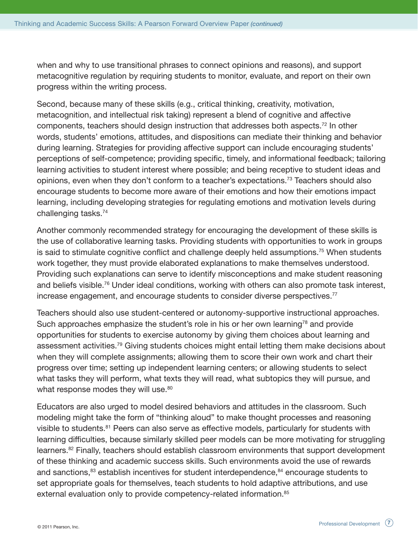when and why to use transitional phrases to connect opinions and reasons), and support metacognitive regulation by requiring students to monitor, evaluate, and report on their own progress within the writing process.

Second, because many of these skills (e.g., critical thinking, creativity, motivation, metacognition, and intellectual risk taking) represent a blend of cognitive and affective components, teachers should design instruction that addresses both aspects.72 In other words, students' emotions, attitudes, and dispositions can mediate their thinking and behavior during learning. Strategies for providing affective support can include encouraging students' perceptions of self-competence; providing specific, timely, and informational feedback; tailoring learning activities to student interest where possible; and being receptive to student ideas and opinions, even when they don't conform to a teacher's expectations.73 Teachers should also encourage students to become more aware of their emotions and how their emotions impact learning, including developing strategies for regulating emotions and motivation levels during challenging tasks.74

Another commonly recommended strategy for encouraging the development of these skills is the use of collaborative learning tasks. Providing students with opportunities to work in groups is said to stimulate cognitive conflict and challenge deeply held assumptions.<sup>75</sup> When students work together, they must provide elaborated explanations to make themselves understood. Providing such explanations can serve to identify misconceptions and make student reasoning and beliefs visible.<sup>76</sup> Under ideal conditions, working with others can also promote task interest, increase engagement, and encourage students to consider diverse perspectives.<sup>77</sup>

Teachers should also use student-centered or autonomy-supportive instructional approaches. Such approaches emphasize the student's role in his or her own learning<sup>78</sup> and provide opportunities for students to exercise autonomy by giving them choices about learning and assessment activities.<sup>79</sup> Giving students choices might entail letting them make decisions about when they will complete assignments; allowing them to score their own work and chart their progress over time; setting up independent learning centers; or allowing students to select what tasks they will perform, what texts they will read, what subtopics they will pursue, and what response modes they will use.<sup>80</sup>

Educators are also urged to model desired behaviors and attitudes in the classroom. Such modeling might take the form of "thinking aloud" to make thought processes and reasoning visible to students.<sup>81</sup> Peers can also serve as effective models, particularly for students with learning difficulties, because similarly skilled peer models can be more motivating for struggling learners.<sup>82</sup> Finally, teachers should establish classroom environments that support development of these thinking and academic success skills. Such environments avoid the use of rewards and sanctions,<sup>83</sup> establish incentives for student interdependence,<sup>84</sup> encourage students to set appropriate goals for themselves, teach students to hold adaptive attributions, and use external evaluation only to provide competency-related information.<sup>85</sup>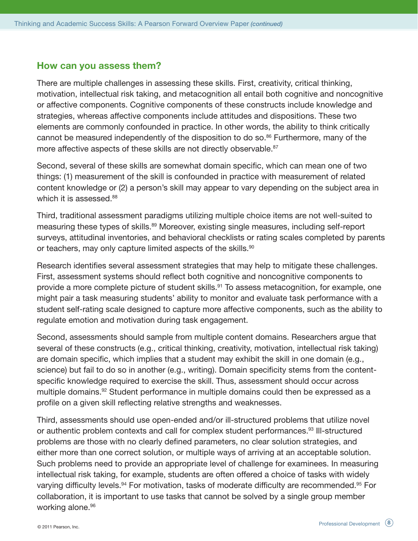#### How can you assess them?

There are multiple challenges in assessing these skills. First, creativity, critical thinking, motivation, intellectual risk taking, and metacognition all entail both cognitive and noncognitive or affective components. Cognitive components of these constructs include knowledge and strategies, whereas affective components include attitudes and dispositions. These two elements are commonly confounded in practice. In other words, the ability to think critically cannot be measured independently of the disposition to do so.<sup>86</sup> Furthermore, many of the more affective aspects of these skills are not directly observable.<sup>87</sup>

Second, several of these skills are somewhat domain specific, which can mean one of two things: (1) measurement of the skill is confounded in practice with measurement of related content knowledge or (2) a person's skill may appear to vary depending on the subject area in which it is assessed.<sup>88</sup>

Third, traditional assessment paradigms utilizing multiple choice items are not well-suited to measuring these types of skills.<sup>89</sup> Moreover, existing single measures, including self-report surveys, attitudinal inventories, and behavioral checklists or rating scales completed by parents or teachers, may only capture limited aspects of the skills.<sup>90</sup>

Research identifies several assessment strategies that may help to mitigate these challenges. First, assessment systems should reflect both cognitive and noncognitive components to provide a more complete picture of student skills.<sup>91</sup> To assess metacognition, for example, one might pair a task measuring students' ability to monitor and evaluate task performance with a student self-rating scale designed to capture more affective components, such as the ability to regulate emotion and motivation during task engagement.

Second, assessments should sample from multiple content domains. Researchers argue that several of these constructs (e.g., critical thinking, creativity, motivation, intellectual risk taking) are domain specific, which implies that a student may exhibit the skill in one domain (e.g., science) but fail to do so in another (e.g., writing). Domain specificity stems from the contentspecific knowledge required to exercise the skill. Thus, assessment should occur across multiple domains.<sup>92</sup> Student performance in multiple domains could then be expressed as a profile on a given skill reflecting relative strengths and weaknesses.

Third, assessments should use open-ended and/or ill-structured problems that utilize novel or authentic problem contexts and call for complex student performances.<sup>93</sup> Ill-structured problems are those with no clearly defined parameters, no clear solution strategies, and either more than one correct solution, or multiple ways of arriving at an acceptable solution. Such problems need to provide an appropriate level of challenge for examinees. In measuring intellectual risk taking, for example, students are often offered a choice of tasks with widely varying difficulty levels.<sup>94</sup> For motivation, tasks of moderate difficulty are recommended.<sup>95</sup> For collaboration, it is important to use tasks that cannot be solved by a single group member working alone.<sup>96</sup>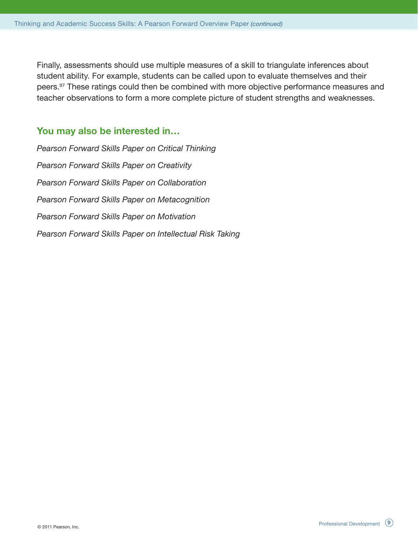Finally, assessments should use multiple measures of a skill to triangulate inferences about student ability. For example, students can be called upon to evaluate themselves and their peers.<sup>97</sup> These ratings could then be combined with more objective performance measures and teacher observations to form a more complete picture of student strengths and weaknesses.

## You may also be interested in…

*Pearson Forward Skills Paper on Critical Thinking Pearson Forward Skills Paper on Creativity Pearson Forward Skills Paper on Collaboration Pearson Forward Skills Paper on Metacognition Pearson Forward Skills Paper on Motivation Pearson Forward Skills Paper on Intellectual Risk Taking*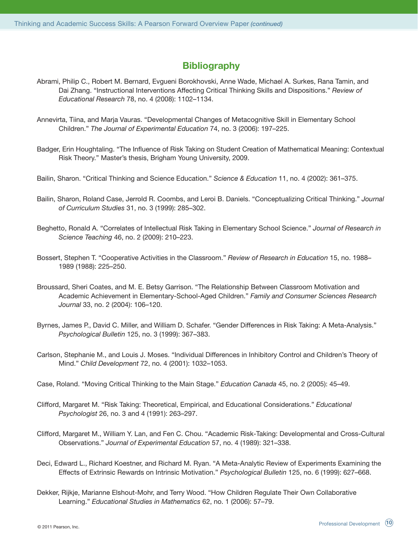## **Bibliography**

- Abrami, Philip C., Robert M. Bernard, Evgueni Borokhovski, Anne Wade, Michael A. Surkes, Rana Tamin, and Dai Zhang. "Instructional Interventions Affecting Critical Thinking Skills and Dispositions." *Review of Educational Research* 78, no. 4 (2008): 1102–1134.
- Annevirta, Tiina, and Marja Vauras. "Developmental Changes of Metacognitive Skill in Elementary School Children." *The Journal of Experimental Education* 74, no. 3 (2006): 197–225.
- Badger, Erin Houghtaling. "The Influence of Risk Taking on Student Creation of Mathematical Meaning: Contextual Risk Theory." Master's thesis, Brigham Young University, 2009.
- Bailin, Sharon. "Critical Thinking and Science Education." *Science & Education* 11, no. 4 (2002): 361–375.
- Bailin, Sharon, Roland Case, Jerrold R. Coombs, and Leroi B. Daniels. "Conceptualizing Critical Thinking." *Journal of Curriculum Studies* 31, no. 3 (1999): 285–302.
- Beghetto, Ronald A. "Correlates of Intellectual Risk Taking in Elementary School Science." *Journal of Research in Science Teaching* 46, no. 2 (2009): 210–223.
- Bossert, Stephen T. "Cooperative Activities in the Classroom." *Review of Research in Education* 15, no. 1988– 1989 (1988): 225–250.
- Broussard, Sheri Coates, and M. E. Betsy Garrison. "The Relationship Between Classroom Motivation and Academic Achievement in Elementary-School-Aged Children." *Family and Consumer Sciences Research Journal* 33, no. 2 (2004): 106–120.
- Byrnes, James P., David C. Miller, and William D. Schafer. "Gender Differences in Risk Taking: A Meta-Analysis." *Psychological Bulletin* 125, no. 3 (1999): 367–383.
- Carlson, Stephanie M., and Louis J. Moses. "Individual Differences in Inhibitory Control and Children's Theory of Mind." *Child Development* 72, no. 4 (2001): 1032–1053.
- Case, Roland. "Moving Critical Thinking to the Main Stage." *Education Canada* 45, no. 2 (2005): 45–49.
- Clifford, Margaret M. "Risk Taking: Theoretical, Empirical, and Educational Considerations." *Educational Psychologist* 26, no. 3 and 4 (1991): 263–297.
- Clifford, Margaret M., William Y. Lan, and Fen C. Chou. "Academic Risk-Taking: Developmental and Cross-Cultural Observations." *Journal of Experimental Education* 57, no. 4 (1989): 321–338.
- Deci, Edward L., Richard Koestner, and Richard M. Ryan. "A Meta-Analytic Review of Experiments Examining the Effects of Extrinsic Rewards on Intrinsic Motivation." *Psychological Bulletin* 125, no. 6 (1999): 627–668.
- Dekker, Rijkje, Marianne Elshout-Mohr, and Terry Wood. "How Children Regulate Their Own Collaborative Learning." *Educational Studies in Mathematics* 62, no. 1 (2006): 57–79.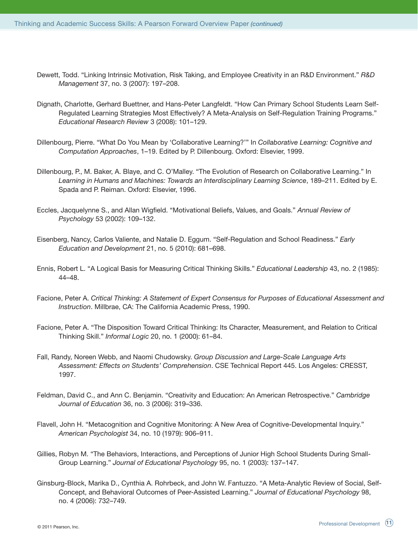- Dewett, Todd. "Linking Intrinsic Motivation, Risk Taking, and Employee Creativity in an R&D Environment." *R&D Management* 37, no. 3 (2007): 197–208.
- Dignath, Charlotte, Gerhard Buettner, and Hans-Peter Langfeldt. "How Can Primary School Students Learn Self-Regulated Learning Strategies Most Effectively? A Meta-Analysis on Self-Regulation Training Programs." *Educational Research Review* 3 (2008): 101–129.
- Dillenbourg, Pierre. "What Do You Mean by 'Collaborative Learning?'" In *Collaborative Learning: Cognitive and Computation Approaches*, 1–19. Edited by P. Dillenbourg. Oxford: Elsevier, 1999.
- Dillenbourg, P., M. Baker, A. Blaye, and C. O'Malley. "The Evolution of Research on Collaborative Learning." In *Learning in Humans and Machines: Towards an Interdisciplinary Learning Science*, 189–211. Edited by E. Spada and P. Reiman. Oxford: Elsevier, 1996.
- Eccles, Jacquelynne S., and Allan Wigfield. "Motivational Beliefs, Values, and Goals." *Annual Review of Psychology* 53 (2002): 109–132.
- Eisenberg, Nancy, Carlos Valiente, and Natalie D. Eggum. "Self-Regulation and School Readiness." *Early Education and Development* 21, no. 5 (2010): 681–698.
- Ennis, Robert L. "A Logical Basis for Measuring Critical Thinking Skills." *Educational Leadership* 43, no. 2 (1985): 44–48.
- Facione, Peter A. *Critical Thinking: A Statement of Expert Consensus for Purposes of Educational Assessment and Instruction*. Millbrae, CA: The California Academic Press, 1990.
- Facione, Peter A. "The Disposition Toward Critical Thinking: Its Character, Measurement, and Relation to Critical Thinking Skill." *Informal Logic* 20, no. 1 (2000): 61–84.
- Fall, Randy, Noreen Webb, and Naomi Chudowsky. *Group Discussion and Large-Scale Language Arts Assessment: Effects on Students' Comprehension*. CSE Technical Report 445. Los Angeles: CRESST, 1997.
- Feldman, David C., and Ann C. Benjamin. "Creativity and Education: An American Retrospective." *Cambridge Journal of Education* 36, no. 3 (2006): 319–336.
- Flavell, John H. "Metacognition and Cognitive Monitoring: A New Area of Cognitive-Developmental Inquiry." *American Psychologist* 34, no. 10 (1979): 906–911.
- Gillies, Robyn M. "The Behaviors, Interactions, and Perceptions of Junior High School Students During Small-Group Learning." *Journal of Educational Psychology* 95, no. 1 (2003): 137–147.
- Ginsburg-Block, Marika D., Cynthia A. Rohrbeck, and John W. Fantuzzo. "A Meta-Analytic Review of Social, Self-Concept, and Behavioral Outcomes of Peer-Assisted Learning." *Journal of Educational Psychology* 98, no. 4 (2006): 732–749.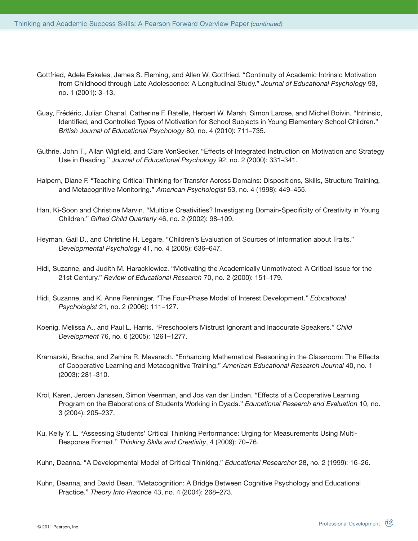- Gottfried, Adele Eskeles, James S. Fleming, and Allen W. Gottfried. "Continuity of Academic Intrinsic Motivation from Childhood through Late Adolescence: A Longitudinal Study." *Journal of Educational Psychology* 93, no. 1 (2001): 3–13.
- Guay, Frédéric, Julian Chanal, Catherine F. Ratelle, Herbert W. Marsh, Simon Larose, and Michel Boivin. "Intrinsic, Identified, and Controlled Types of Motivation for School Subjects in Young Elementary School Children." *British Journal of Educational Psychology* 80, no. 4 (2010): 711–735.
- Guthrie, John T., Allan Wigfield, and Clare VonSecker. "Effects of Integrated Instruction on Motivation and Strategy Use in Reading." *Journal of Educational Psychology* 92, no. 2 (2000): 331–341.
- Halpern, Diane F. "Teaching Critical Thinking for Transfer Across Domains: Dispositions, Skills, Structure Training, and Metacognitive Monitoring." *American Psychologist* 53, no. 4 (1998): 449–455.
- Han, Ki-Soon and Christine Marvin. "Multiple Creativities? Investigating Domain-Specificity of Creativity in Young Children." *Gifted Child Quarterly* 46, no. 2 (2002): 98–109.
- Heyman, Gail D., and Christine H. Legare. "Children's Evaluation of Sources of Information about Traits." *Developmental Psychology* 41, no. 4 (2005): 636–647.
- Hidi, Suzanne, and Judith M. Harackiewicz. "Motivating the Academically Unmotivated: A Critical Issue for the 21st Century." *Review of Educational Research* 70, no. 2 (2000): 151–179.
- Hidi, Suzanne, and K. Anne Renninger. "The Four-Phase Model of Interest Development." *Educational Psychologist* 21, no. 2 (2006): 111–127.
- Koenig, Melissa A., and Paul L. Harris. "Preschoolers Mistrust Ignorant and Inaccurate Speakers." *Child Development* 76, no. 6 (2005): 1261–1277.
- Kramarski, Bracha, and Zemira R. Mevarech. "Enhancing Mathematical Reasoning in the Classroom: The Effects of Cooperative Learning and Metacognitive Training." *American Educational Research Journal* 40, no. 1 (2003): 281–310.
- Krol, Karen, Jeroen Janssen, Simon Veenman, and Jos van der Linden. "Effects of a Cooperative Learning Program on the Elaborations of Students Working in Dyads." *Educational Research and Evaluation* 10, no. 3 (2004): 205–237.
- Ku, Kelly Y. L. "Assessing Students' Critical Thinking Performance: Urging for Measurements Using Multi-Response Format." *Thinking Skills and Creativity*, 4 (2009): 70–76.

Kuhn, Deanna, and David Dean. "Metacognition: A Bridge Between Cognitive Psychology and Educational Practice." *Theory Into Practice* 43, no. 4 (2004): 268–273.

Kuhn, Deanna. "A Developmental Model of Critical Thinking." *Educational Researcher* 28, no. 2 (1999): 16–26.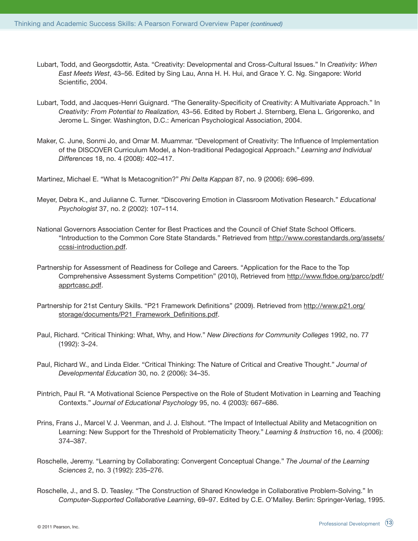- Lubart, Todd, and Georgsdottir, Asta. "Creativity: Developmental and Cross-Cultural Issues." In *Creativity: When East Meets West*, 43–56. Edited by Sing Lau, Anna H. H. Hui, and Grace Y. C. Ng. Singapore: World Scientific, 2004.
- Lubart, Todd, and Jacques-Henri Guignard. "The Generality-Specificity of Creativity: A Multivariate Approach." In *Creativity: From Potential to Realization,* 43–56. Edited by Robert J. Sternberg, Elena L. Grigorenko, and Jerome L. Singer. Washington, D.C.: American Psychological Association, 2004.
- Maker, C. June, Sonmi Jo, and Omar M. Muammar. "Development of Creativity: The Influence of Implementation of the DISCOVER Curriculum Model, a Non-traditional Pedagogical Approach." *Learning and Individual Differences* 18, no. 4 (2008): 402–417.

Martinez, Michael E. "What Is Metacognition?" *Phi Delta Kappan* 87, no. 9 (2006): 696–699.

- Meyer, Debra K., and Julianne C. Turner. "Discovering Emotion in Classroom Motivation Research." *Educational Psychologist* 37, no. 2 (2002): 107–114.
- National Governors Association Center for Best Practices and the Council of Chief State School Officers. "Introduction to the Common Core State Standards." Retrieved from http://www.corestandards.org/assets/ ccssi-introduction.pdf.
- Partnership for Assessment of Readiness for College and Careers. "Application for the Race to the Top Comprehensive Assessment Systems Competition" (2010), Retrieved from http://www.fldoe.org/parcc/pdf/ apprtcasc.pdf.
- Partnership for 21st Century Skills. "P21 Framework Definitions" (2009). Retrieved from http://www.p21.org/ storage/documents/P21\_Framework\_Definitions.pdf.
- Paul, Richard. "Critical Thinking: What, Why, and How." *New Directions for Community Colleges* 1992, no. 77 (1992): 3–24.
- Paul, Richard W., and Linda Elder. "Critical Thinking: The Nature of Critical and Creative Thought." *Journal of Developmental Education* 30, no. 2 (2006): 34–35.
- Pintrich, Paul R. "A Motivational Science Perspective on the Role of Student Motivation in Learning and Teaching Contexts." *Journal of Educational Psychology* 95, no. 4 (2003): 667–686.
- Prins, Frans J., Marcel V. J. Veenman, and J. J. Elshout. "The Impact of Intellectual Ability and Metacognition on Learning: New Support for the Threshold of Problematicity Theory." *Learning & Instruction* 16, no. 4 (2006): 374–387.
- Roschelle, Jeremy. "Learning by Collaborating: Convergent Conceptual Change." *The Journal of the Learning Sciences* 2, no. 3 (1992): 235–276.
- Roschelle, J., and S. D. Teasley. "The Construction of Shared Knowledge in Collaborative Problem-Solving." In *Computer-Supported Collaborative Learning*, 69–97. Edited by C.E. O'Malley. Berlin: Springer-Verlag, 1995.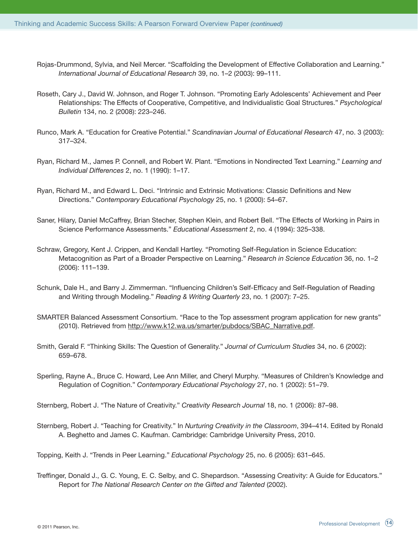- Rojas-Drummond, Sylvia, and Neil Mercer. "Scaffolding the Development of Effective Collaboration and Learning." *International Journal of Educational Research* 39, no. 1–2 (2003): 99–111.
- Roseth, Cary J., David W. Johnson, and Roger T. Johnson. "Promoting Early Adolescents' Achievement and Peer Relationships: The Effects of Cooperative, Competitive, and Individualistic Goal Structures." *Psychological Bulletin* 134, no. 2 (2008): 223–246.
- Runco, Mark A. "Education for Creative Potential." *Scandinavian Journal of Educational Research* 47, no. 3 (2003): 317–324.
- Ryan, Richard M., James P. Connell, and Robert W. Plant. "Emotions in Nondirected Text Learning." *Learning and Individual Differences* 2, no. 1 (1990): 1–17.
- Ryan, Richard M., and Edward L. Deci. "Intrinsic and Extrinsic Motivations: Classic Definitions and New Directions." *Contemporary Educational Psychology* 25, no. 1 (2000): 54–67.
- Saner, Hilary, Daniel McCaffrey, Brian Stecher, Stephen Klein, and Robert Bell. "The Effects of Working in Pairs in Science Performance Assessments." *Educational Assessment* 2, no. 4 (1994): 325–338.
- Schraw, Gregory, Kent J. Crippen, and Kendall Hartley. "Promoting Self-Regulation in Science Education: Metacognition as Part of a Broader Perspective on Learning." *Research in Science Education* 36, no. 1–2 (2006): 111–139.
- Schunk, Dale H., and Barry J. Zimmerman. "Influencing Children's Self-Efficacy and Self-Regulation of Reading and Writing through Modeling." *Reading & Writing Quarterly* 23, no. 1 (2007): 7–25.
- SMARTER Balanced Assessment Consortium. "Race to the Top assessment program application for new grants" (2010). Retrieved from http://www.k12.wa.us/smarter/pubdocs/SBAC\_Narrative.pdf.
- Smith, Gerald F. "Thinking Skills: The Question of Generality." *Journal of Curriculum Studies* 34, no. 6 (2002): 659–678.
- Sperling, Rayne A., Bruce C. Howard, Lee Ann Miller, and Cheryl Murphy. "Measures of Children's Knowledge and Regulation of Cognition." *Contemporary Educational Psychology* 27, no. 1 (2002): 51–79.

Sternberg, Robert J. "The Nature of Creativity." *Creativity Research Journal* 18, no. 1 (2006): 87–98.

Sternberg, Robert J. "Teaching for Creativity." In *Nurturing Creativity in the Classroom*, 394–414. Edited by Ronald A. Beghetto and James C. Kaufman. Cambridge: Cambridge University Press, 2010.

Topping, Keith J. "Trends in Peer Learning." *Educational Psychology* 25, no. 6 (2005): 631–645.

Treffinger, Donald J., G. C. Young, E. C. Selby, and C. Shepardson. "Assessing Creativity: A Guide for Educators." Report for *The National Research Center on the Gifted and Talented* (2002).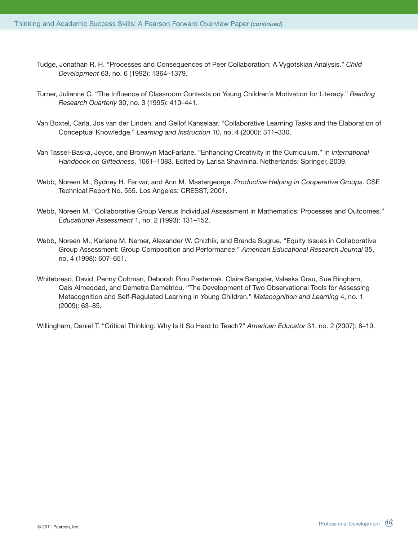- Tudge, Jonathan R. H. "Processes and Consequences of Peer Collaboration: A Vygotskian Analysis." *Child Development* 63, no. 6 (1992): 1364–1379.
- Turner, Julianne C. "The Influence of Classroom Contexts on Young Children's Motivation for Literacy." *Reading Research Quarterly* 30, no. 3 (1995): 410–441.
- Van Boxtel, Carla, Jos van der Linden, and Gellof Kanselaar. "Collaborative Learning Tasks and the Elaboration of Conceptual Knowledge." *Learning and Instruction* 10, no. 4 (2000): 311–330.
- Van Tassel-Baska, Joyce, and Bronwyn MacFarlane. "Enhancing Creativity in the Curriculum." In *International Handbook on Giftedness*, 1061–1083. Edited by Larisa Shavinina. Netherlands: Springer, 2009.
- Webb, Noreen M., Sydney H. Farivar, and Ann M. Mastergeorge. *Productive Helping in Cooperative Groups*. CSE Technical Report No. 555. Los Angeles: CRESST, 2001.
- Webb, Noreen M. "Collaborative Group Versus Individual Assessment in Mathematics: Processes and Outcomes." *Educational Assessment* 1, no. 2 (1993): 131–152.
- Webb, Noreen M., Kariane M. Nemer, Alexander W. Chizhik, and Brenda Sugrue. "Equity Issues in Collaborative Group Assessment: Group Composition and Performance." *American Educational Research Journal* 35, no. 4 (1998): 607–651.
- Whitebread, David, Penny Coltman, Deborah Pino Pasternak, Claire Sangster, Valeska Grau, Sue Bingham, Qais Almeqdad, and Demetra Demetriou. "The Development of Two Observational Tools for Assessing Metacognition and Self-Regulated Learning in Young Children." *Metacognition and Learning* 4, no. 1 (2009): 63–85.

Willingham, Daniel T. "Critical Thinking: Why Is It So Hard to Teach?" *American Educator* 31, no. 2 (2007): 8–19.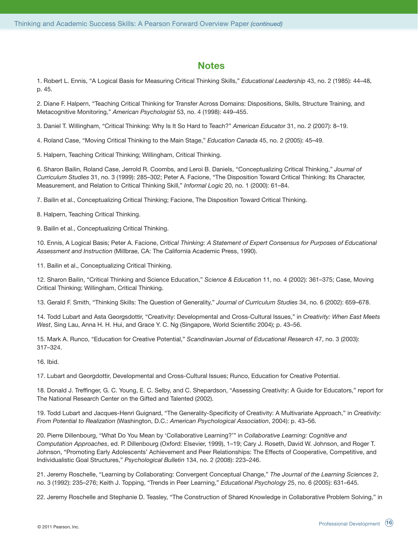#### **Notes**

1. Robert L. Ennis, "A Logical Basis for Measuring Critical Thinking Skills," *Educational Leadership* 43, no. 2 (1985): 44–48, p. 45.

2. Diane F. Halpern, "Teaching Critical Thinking for Transfer Across Domains: Dispositions, Skills, Structure Training, and Metacognitive Monitoring," *American Psychologist* 53, no. 4 (1998): 449–455.

3. Daniel T. Willingham, "Critical Thinking: Why Is It So Hard to Teach?" *American Educato*r 31, no. 2 (2007): 8–19.

4. Roland Case, "Moving Critical Thinking to the Main Stage," *Education Canada* 45, no. 2 (2005): 45–49.

5. Halpern, Teaching Critical Thinking; Willingham, Critical Thinking.

6. Sharon Bailin, Roland Case, Jerrold R. Coombs, and Leroi B. Daniels, "Conceptualizing Critical Thinking," *Journal of Curriculum Studies* 31, no. 3 (1999): 285–302; Peter A. Facione, "The Disposition Toward Critical Thinking: Its Character, Measurement, and Relation to Critical Thinking Skill," *Informal Logic* 20, no. 1 (2000): 61–84.

7. Bailin et al., Conceptualizing Critical Thinking; Facione, The Disposition Toward Critical Thinking.

8. Halpern, Teaching Critical Thinking.

9. Bailin et al., Conceptualizing Critical Thinking.

10. Ennis, A Logical Basis; Peter A. Facione, *Critical Thinking: A Statement of Expert Consensus for Purposes of Educational Assessment and Instruction* (Millbrae, CA: The California Academic Press, 1990).

11. Bailin et al., Conceptualizing Critical Thinking.

12. Sharon Bailin, "Critical Thinking and Science Education," *Science & Education* 11, no. 4 (2002): 361–375; Case, Moving Critical Thinking; Willingham, Critical Thinking.

13. Gerald F. Smith, "Thinking Skills: The Question of Generality," *Journal of Curriculum Studies* 34, no. 6 (2002): 659–678.

14. Todd Lubart and Asta Georgsdottir, "Creativity: Developmental and Cross-Cultural Issues," in *Creativity: When East Meets West*, Sing Lau, Anna H. H. Hui, and Grace Y. C. Ng (Singapore, World Scientific 2004); p. 43–56.

15. Mark A. Runco, "Education for Creative Potential," *Scandinavian Journal of Educational Research* 47, no. 3 (2003): 317–324.

16. Ibid.

17. Lubart and Georgdottir, Developmental and Cross-Cultural Issues; Runco, Education for Creative Potential.

18. Donald J. Treffinger, G. C. Young, E. C. Selby, and C. Shepardson, "Assessing Creativity: A Guide for Educators," report for The National Research Center on the Gifted and Talented (2002).

19. Todd Lubart and Jacques-Henri Guignard, "The Generality-Specificity of Creativity: A Multivariate Approach," in *Creativity: From Potential to Realization* (Washington, D.C.: *American Psychological Association*, 2004): p. 43–56.

20. Pierre Dillenbourg, "What Do You Mean by 'Collaborative Learning?'" in *Collaborative Learning: Cognitive and Computation Approaches*, ed. P. Dillenbourg (Oxford: Elsevier, 1999), 1–19; Cary J. Roseth, David W. Johnson, and Roger T. Johnson, "Promoting Early Adolescents' Achievement and Peer Relationships: The Effects of Cooperative, Competitive, and Individualistic Goal Structures," *Psychological Bulletin* 134, no. 2 (2008): 223–246.

21. Jeremy Roschelle, "Learning by Collaborating: Convergent Conceptual Change," *The Journal of the Learning Sciences* 2, no. 3 (1992): 235–276; Keith J. Topping, "Trends in Peer Learning," *Educational Psychology* 25, no. 6 (2005): 631–645.

22. Jeremy Roschelle and Stephanie D. Teasley, "The Construction of Shared Knowledge in Collaborative Problem Solving," in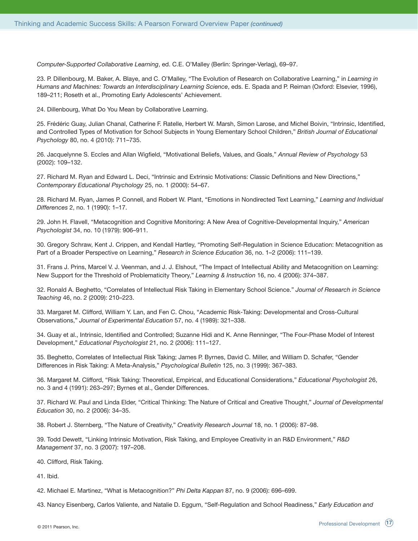*Computer-Supported Collaborative Learning*, ed. C.E. O'Malley (Berlin: Springer-Verlag), 69–97.

23. P. Dillenbourg, M. Baker, A. Blaye, and C. O'Malley, "The Evolution of Research on Collaborative Learning," in *Learning in Humans and Machines: Towards an Interdisciplinary Learning Science*, eds. E. Spada and P. Reiman (Oxford: Elsevier, 1996), 189–211; Roseth et al., Promoting Early Adolescents' Achievement.

24. Dillenbourg, What Do You Mean by Collaborative Learning.

25. Frédéric Guay, Julian Chanal, Catherine F. Ratelle, Herbert W. Marsh, Simon Larose, and Michel Boivin, "Intrinsic, Identified, and Controlled Types of Motivation for School Subjects in Young Elementary School Children," *British Journal of Educational Psychology* 80, no. 4 (2010): 711–735.

26. Jacquelynne S. Eccles and Allan Wigfield, "Motivational Beliefs, Values, and Goals," *Annual Review of Psychology* 53 (2002): 109–132.

27. Richard M. Ryan and Edward L. Deci, "Intrinsic and Extrinsic Motivations: Classic Definitions and New Directions," *Contemporary Educational Psychology* 25, no. 1 (2000): 54–67.

28. Richard M. Ryan, James P. Connell, and Robert W. Plant, "Emotions in Nondirected Text Learning," *Learning and Individual Differences* 2, no. 1 (1990): 1–17.

29. John H. Flavell, "Metacognition and Cognitive Monitoring: A New Area of Cognitive-Developmental Inquiry," *American Psychologist* 34, no. 10 (1979): 906–911.

30. Gregory Schraw, Kent J. Crippen, and Kendall Hartley, "Promoting Self-Regulation in Science Education: Metacognition as Part of a Broader Perspective on Learning," *Research in Science Education* 36, no. 1–2 (2006): 111–139.

31. Frans J. Prins, Marcel V. J. Veenman, and J. J. Elshout, "The Impact of Intellectual Ability and Metacognition on Learning: New Support for the Threshold of Problematicity Theory," *Learning & Instruction* 16, no. 4 (2006): 374–387.

32. Ronald A. Beghetto, "Correlates of Intellectual Risk Taking in Elementary School Science." *Journal of Research in Science Teaching* 46, no. 2 (2009): 210–223.

33. Margaret M. Clifford, William Y. Lan, and Fen C. Chou, "Academic Risk-Taking: Developmental and Cross-Cultural Observations," *Journal of Experimental Education* 57, no. 4 (1989): 321–338.

34. Guay et al., Intrinsic, Identified and Controlled; Suzanne Hidi and K. Anne Renninger, "The Four-Phase Model of Interest Development," *Educational Psychologist* 21, no. 2 (2006): 111–127.

35. Beghetto, Correlates of Intellectual Risk Taking; James P. Byrnes, David C. Miller, and William D. Schafer, "Gender Differences in Risk Taking: A Meta-Analysis," *Psychological Bulletin* 125, no. 3 (1999): 367–383.

36. Margaret M. Clifford, "Risk Taking: Theoretical, Empirical, and Educational Considerations," *Educational Psychologist* 26, no. 3 and 4 (1991): 263–297; Byrnes et al., Gender Differences.

37. Richard W. Paul and Linda Elder, "Critical Thinking: The Nature of Critical and Creative Thought," *Journal of Developmental Education* 30, no. 2 (2006): 34–35.

38. Robert J. Sternberg, "The Nature of Creativity," *Creativity Research Journal* 18, no. 1 (2006): 87–98.

39. Todd Dewett, "Linking Intrinsic Motivation, Risk Taking, and Employee Creativity in an R&D Environment," *R&D Management* 37, no. 3 (2007): 197–208.

40. Clifford, Risk Taking.

41. Ibid.

42. Michael E. Martinez, "What is Metacognition?" *Phi Delta Kappan* 87, no. 9 (2006): 696–699.

43. Nancy Eisenberg, Carlos Valiente, and Natalie D. Eggum, "Self-Regulation and School Readiness," *Early Education and*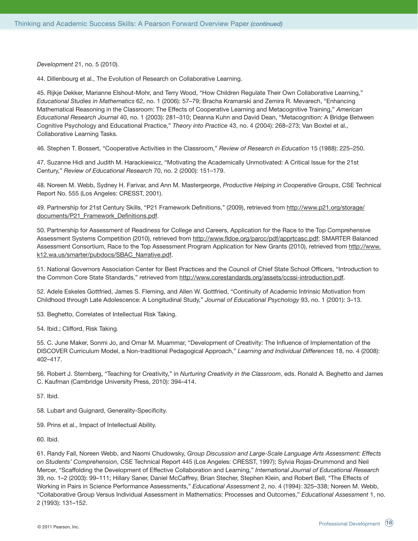*Development* 21, no. 5 (2010).

44. Dillenbourg et al., The Evolution of Research on Collaborative Learning.

45. Rijkje Dekker, Marianne Elshout-Mohr, and Terry Wood, "How Children Regulate Their Own Collaborative Learning," *Educational Studies in Mathematics* 62, no. 1 (2006): 57–79; Bracha Kramarski and Zemira R. Mevarech, "Enhancing Mathematical Reasoning in the Classroom: The Effects of Cooperative Learning and Metacognitive Training," *American Educational Research Journal* 40, no. 1 (2003): 281–310; Deanna Kuhn and David Dean, "Metacognition: A Bridge Between Cognitive Psychology and Educational Practice," *Theory into Practice* 43, no. 4 (2004): 268–273; Van Boxtel et al., Collaborative Learning Tasks.

46. Stephen T. Bossert, "Cooperative Activities in the Classroom," *Review of Research in Education* 15 (1988): 225–250.

47. Suzanne Hidi and Judith M. Harackiewicz, "Motivating the Academically Unmotivated: A Critical Issue for the 21st Century," *Review of Educational Research* 70, no. 2 (2000): 151–179.

48. Noreen M. Webb, Sydney H. Farivar, and Ann M. Mastergeorge, *Productive Helping in Cooperative Groups*, CSE Technical Report No. 555 (Los Angeles: CRESST, 2001).

49. Partnership for 21st Century Skills, "P21 Framework Definitions," (2009), retrieved from http://www.p21.org/storage/ documents/P21\_Framework\_Definitions.pdf.

50. Partnership for Assessment of Readiness for College and Careers, Application for the Race to the Top Comprehensive Assessment Systems Competition (2010), retrieved from http://www.fldoe.org/parcc/pdf/apprtcasc.pdf; SMARTER Balanced Assessment Consortium, Race to the Top Assessment Program Application for New Grants (2010), retrieved from http://www. k12.wa.us/smarter/pubdocs/SBAC\_Narrative.pdf.

51. National Governors Association Center for Best Practices and the Council of Chief State School Officers, "Introduction to the Common Core State Standards," retrieved from http://www.corestandards.org/assets/ccssi-introduction.pdf.

52. Adele Eskeles Gottfried, James S. Fleming, and Allen W. Gottfried, "Continuity of Academic Intrinsic Motivation from Childhood through Late Adolescence: A Longitudinal Study," *Journal of Educational Psychology* 93, no. 1 (2001): 3–13.

53. Beghetto, Correlates of Intellectual Risk Taking.

54. Ibid.; Clifford, Risk Taking.

55. C. June Maker, Sonmi Jo, and Omar M. Muammar, "Development of Creativity: The Influence of Implementation of the DISCOVER Curriculum Model, a Non-traditional Pedagogical Approach," *Learning and Individual Differences* 18, no. 4 (2008): 402–417.

56. Robert J. Sternberg, "Teaching for Creativity," in *Nurturing Creativity in the Classroom*, eds. Ronald A. Beghetto and James C. Kaufman (Cambridge University Press, 2010): 394–414.

57. Ibid.

58. Lubart and Guignard, Generality-Specificity.

59. Prins et al., Impact of Intellectual Ability.

60. Ibid.

61. Randy Fall, Noreen Webb, and Naomi Chudowsky, *Group Discussion and Large-Scale Language Arts Assessment: Effects on Students' Comprehension*, CSE Technical Report 445 (Los Angeles: CRESST, 1997); Sylvia Rojas-Drummond and Neil Mercer, "Scaffolding the Development of Effective Collaboration and Learning," *International Journal of Educational Research* 39, no. 1–2 (2003): 99–111; Hillary Saner, Daniel McCaffrey, Brian Stecher, Stephen Klein, and Robert Bell, "The Effects of Working in Pairs in Science Performance Assessments," *Educational Assessment* 2, no. 4 (1994): 325–338; Noreen M. Webb, "Collaborative Group Versus Individual Assessment in Mathematics: Processes and Outcomes," *Educational Assessment* 1, no. 2 (1993): 131–152.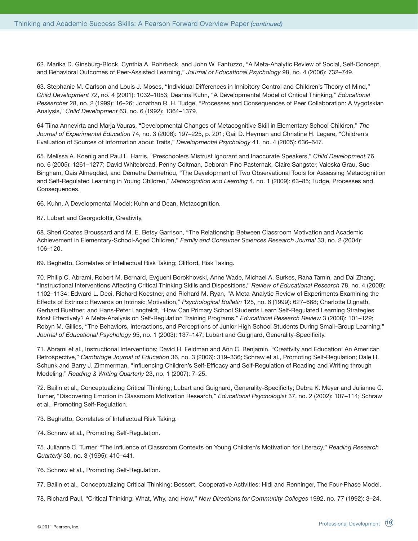62. Marika D. Ginsburg-Block, Cynthia A. Rohrbeck, and John W. Fantuzzo, "A Meta-Analytic Review of Social, Self-Concept, and Behavioral Outcomes of Peer-Assisted Learning," *Journal of Educational Psychology* 98, no. 4 (2006): 732–749.

63. Stephanie M. Carlson and Louis J. Moses, "Individual Differences in Inhibitory Control and Children's Theory of Mind," *Child Development* 72, no. 4 (2001): 1032–1053; Deanna Kuhn, "A Developmental Model of Critical Thinking," *Educational Researcher* 28, no. 2 (1999): 16–26; Jonathan R. H. Tudge, "Processes and Consequences of Peer Collaboration: A Vygotskian Analysis," *Child Development* 63, no. 6 (1992): 1364–1379.

64 Tiina Annevirta and Marja Vauras, "Developmental Changes of Metacognitive Skill in Elementary School Children," *The Journal of Experimental Education* 74, no. 3 (2006): 197–225, p. 201; Gail D. Heyman and Christine H. Legare, "Children's Evaluation of Sources of Information about Traits," *Developmental Psychology* 41, no. 4 (2005): 636–647.

65. Melissa A. Koenig and Paul L. Harris, "Preschoolers Mistrust Ignorant and Inaccurate Speakers," *Child Development* 76, no. 6 (2005): 1261–1277; David Whitebread, Penny Coltman, Deborah Pino Pasternak, Claire Sangster, Valeska Grau, Sue Bingham, Qais Almeqdad, and Demetra Demetriou, "The Development of Two Observational Tools for Assessing Metacognition and Self-Regulated Learning in Young Children," *Metacognition and Learning* 4, no. 1 (2009): 63–85; Tudge, Processes and Consequences.

66. Kuhn, A Developmental Model; Kuhn and Dean, Metacognition.

67. Lubart and Georgsdottir, Creativity.

68. Sheri Coates Broussard and M. E. Betsy Garrison, "The Relationship Between Classroom Motivation and Academic Achievement in Elementary-School-Aged Children," *Family and Consumer Sciences Research Journal* 33, no. 2 (2004): 106–120.

69. Beghetto, Correlates of Intellectual Risk Taking; Clifford, Risk Taking.

70. Philip C. Abrami, Robert M. Bernard, Evgueni Borokhovski, Anne Wade, Michael A. Surkes, Rana Tamin, and Dai Zhang, "Instructional Interventions Affecting Critical Thinking Skills and Dispositions," *Review of Educational Research* 78, no. 4 (2008): 1102–1134; Edward L. Deci, Richard Koestner, and Richard M. Ryan, "A Meta-Analytic Review of Experiments Examining the Effects of Extrinsic Rewards on Intrinsic Motivation," *Psychological Bulletin* 125, no. 6 (1999): 627–668; Charlotte Dignath, Gerhard Buettner, and Hans-Peter Langfeldt, "How Can Primary School Students Learn Self-Regulated Learning Strategies Most Effectively? A Meta-Analysis on Self-Regulation Training Programs," *Educational Research Review* 3 (2008): 101–129; Robyn M. Gillies, "The Behaviors, Interactions, and Perceptions of Junior High School Students During Small-Group Learning," *Journal of Educational Psychology* 95, no. 1 (2003): 137–147; Lubart and Guignard, Generality-Specificity.

71. Abrami et al., Instructional Interventions; David H. Feldman and Ann C. Benjamin, "Creativity and Education: An American Retrospective," *Cambridge Journal of Education* 36, no. 3 (2006): 319–336; Schraw et al., Promoting Self-Regulation; Dale H. Schunk and Barry J. Zimmerman, "Influencing Children's Self-Efficacy and Self-Regulation of Reading and Writing through Modeling," *Reading & Writing Quarterly* 23, no. 1 (2007): 7–25.

72. Bailin et al., Conceptualizing Critical Thinking; Lubart and Guignard, Generality-Specificity; Debra K. Meyer and Julianne C. Turner, "Discovering Emotion in Classroom Motivation Research," *Educational Psychologist* 37, no. 2 (2002): 107–114; Schraw et al., Promoting Self-Regulation.

73. Beghetto, Correlates of Intellectual Risk Taking.

74. Schraw et al., Promoting Self-Regulation.

75. Julianne C. Turner, "The Influence of Classroom Contexts on Young Children's Motivation for Literacy," *Reading Research Quarterly* 30, no. 3 (1995): 410–441.

76. Schraw et al., Promoting Self-Regulation.

77. Bailin et al., Conceptualizing Critical Thinking; Bossert, Cooperative Activities; Hidi and Renninger, The Four-Phase Model.

78. Richard Paul, "Critical Thinking: What, Why, and How," *New Directions for Community Colleges* 1992, no. 77 (1992): 3–24.